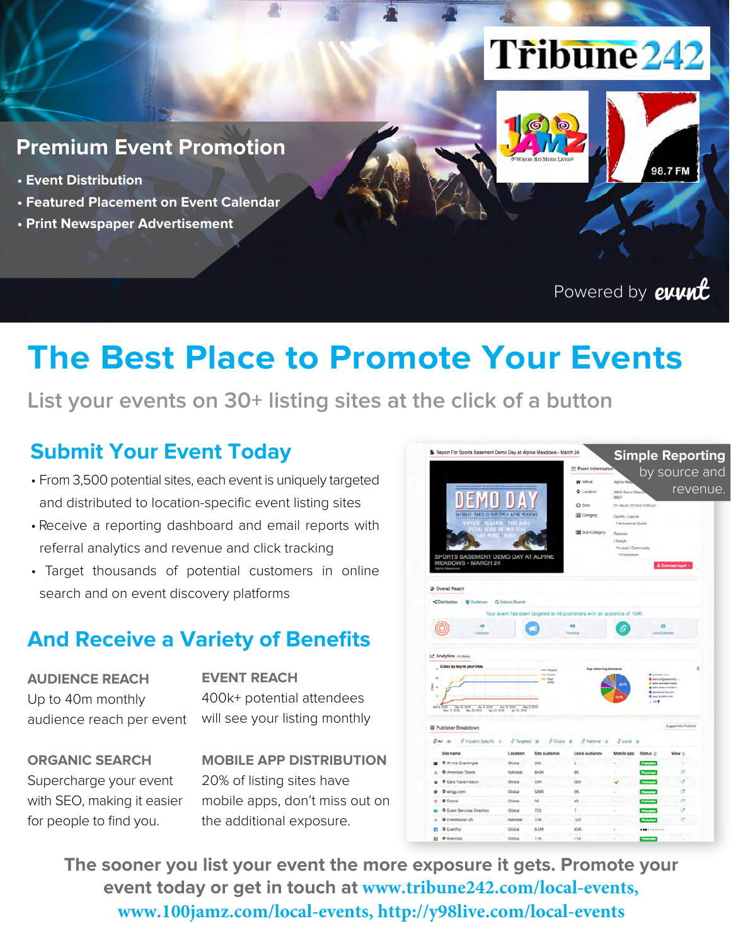# **Tribune 242**



- **Event Distribution**
- **Featured Placement on Event Calendar**
- **Print Newspaper Advertisement**

#### Powered by **event**

98.7 FM

### **The Best Place to Promote Your Events**

#### **List your events on 30+ listing sites at the click of a button**

#### **Submit Your Event Today**

- From 3,500 potential sites, each event is uniquely targeted and distributed to location-specific event listing sites
- Receive a reporting dashboard and email reports with referral analytics and revenue and click tracking
- Target thousands of potential customers in online search and on event discovery platforms

#### **And Receive a Variety of Benefits**

#### **AUDIENCE REACH** Up to 40m monthly audience reach per event

**EVENT REACH** 400k+ potential attendees will see your listing monthly

**ORGANIC SEARCH** Supercharge your event with SEO, making it easier for people to find you.

**MOBILE APP DISTRIBUTION** 20% of listing sites have mobile apps, don't miss out on the additional exposure.



**The sooner you list your event the more exposure it gets. Promote your event today or get in touch at www.tribune242.com/local-events, www.100jamz.com/local-events, http://y98live.com/local-events**